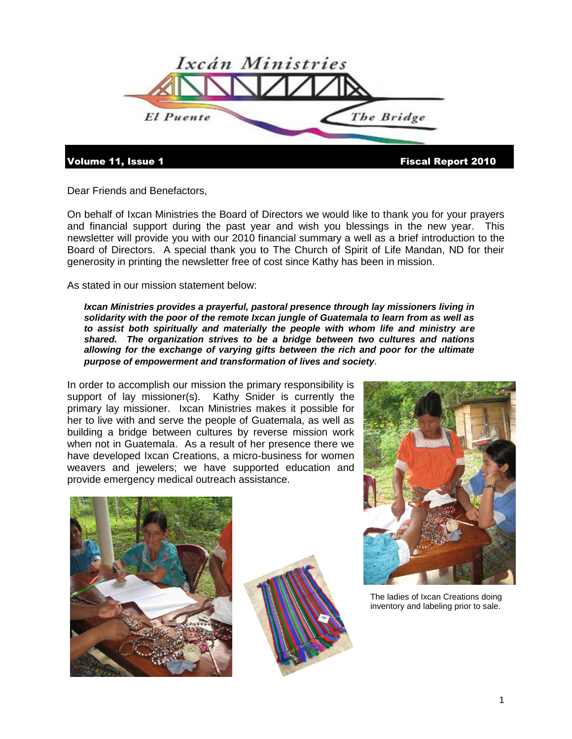

Volume 11, Issue 1 and the state of the state of the state of the Fiscal Report 2010

Dear Friends and Benefactors,

On behalf of Ixcan Ministries the Board of Directors we would like to thank you for your prayers and financial support during the past year and wish you blessings in the new year. This newsletter will provide you with our 2010 financial summary a well as a brief introduction to the Board of Directors. A special thank you to The Church of Spirit of Life Mandan, ND for their generosity in printing the newsletter free of cost since Kathy has been in mission.

As stated in our mission statement below:

*Ixcan Ministries provides a prayerful, pastoral presence through lay missioners living in solidarity with the poor of the remote Ixcan jungle of Guatemala to learn from as well as to assist both spiritually and materially the people with whom life and ministry are shared. The organization strives to be a bridge between two cultures and nations allowing for the exchange of varying gifts between the rich and poor for the ultimate purpose of empowerment and transformation of lives and society.* 

In order to accomplish our mission the primary responsibility is support of lay missioner(s). Kathy Snider is currently the primary lay missioner. Ixcan Ministries makes it possible for her to live with and serve the people of Guatemala, as well as building a bridge between cultures by reverse mission work when not in Guatemala. As a result of her presence there we have developed Ixcan Creations, a micro-business for women weavers and jewelers; we have supported education and provide emergency medical outreach assistance.







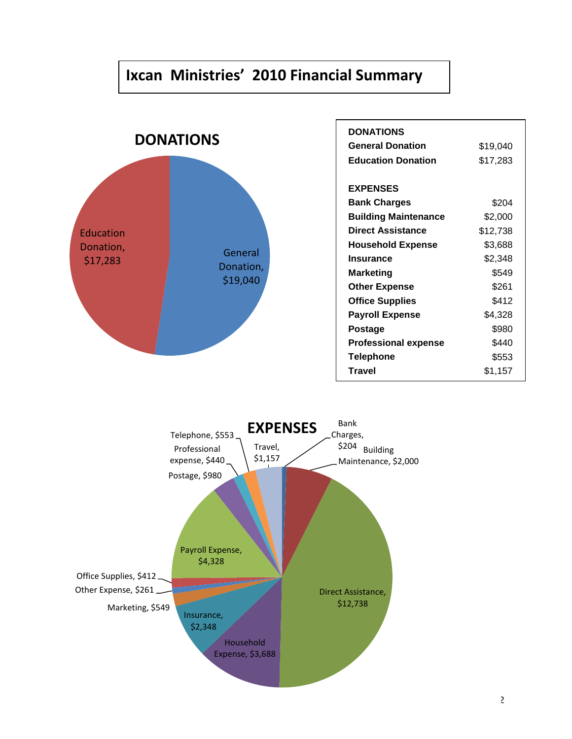# **Ixcan Ministries' 2010 Financial Summary**



| DONATIONS                   |          |
|-----------------------------|----------|
| <b>General Donation</b>     | \$19,040 |
| <b>Education Donation</b>   | \$17,283 |
|                             |          |
| <b>EXPENSES</b>             |          |
| <b>Bank Charges</b>         | \$204    |
| <b>Building Maintenance</b> | \$2,000  |
| Direct Assistance           | \$12,738 |
| <b>Household Expense</b>    | \$3,688  |
| Insurance                   | \$2,348  |
| <b>Marketing</b>            | \$549    |
| <b>Other Expense</b>        | \$261    |
| <b>Office Supplies</b>      | \$412    |
| <b>Payroll Expense</b>      | \$4,328  |
| Postage                     | \$980    |
| <b>Professional expense</b> | \$440    |
| <b>Telephone</b>            | \$553    |
| <b>Travel</b>               | \$1,157  |

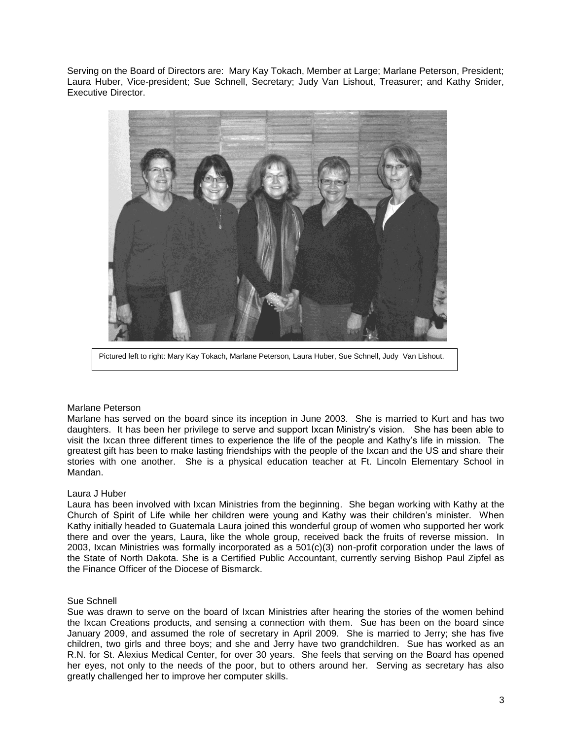Serving on the Board of Directors are: Mary Kay Tokach, Member at Large; Marlane Peterson, President; Laura Huber, Vice-president; Sue Schnell, Secretary; Judy Van Lishout, Treasurer; and Kathy Snider, Executive Director.



Pictured left to right: Mary Kay Tokach, Marlane Peterson, Laura Huber, Sue Schnell, Judy Van Lishout.

### Marlane Peterson

Marlane has served on the board since its inception in June 2003. She is married to Kurt and has two daughters. It has been her privilege to serve and support Ixcan Ministry's vision. She has been able to visit the Ixcan three different times to experience the life of the people and Kathy's life in mission. The greatest gift has been to make lasting friendships with the people of the Ixcan and the US and share their stories with one another. She is a physical education teacher at Ft. Lincoln Elementary School in Mandan.

## Laura J Huber

Laura has been involved with Ixcan Ministries from the beginning. She began working with Kathy at the Church of Spirit of Life while her children were young and Kathy was their children's minister. When Kathy initially headed to Guatemala Laura joined this wonderful group of women who supported her work there and over the years, Laura, like the whole group, received back the fruits of reverse mission. In 2003, Ixcan Ministries was formally incorporated as a 501(c)(3) non-profit corporation under the laws of the State of North Dakota. She is a Certified Public Accountant, currently serving Bishop Paul Zipfel as the Finance Officer of the Diocese of Bismarck.

### Sue Schnell

Sue was drawn to serve on the board of Ixcan Ministries after hearing the stories of the women behind the Ixcan Creations products, and sensing a connection with them. Sue has been on the board since January 2009, and assumed the role of secretary in April 2009. She is married to Jerry; she has five children, two girls and three boys; and she and Jerry have two grandchildren. Sue has worked as an R.N. for St. Alexius Medical Center, for over 30 years. She feels that serving on the Board has opened her eyes, not only to the needs of the poor, but to others around her. Serving as secretary has also greatly challenged her to improve her computer skills.